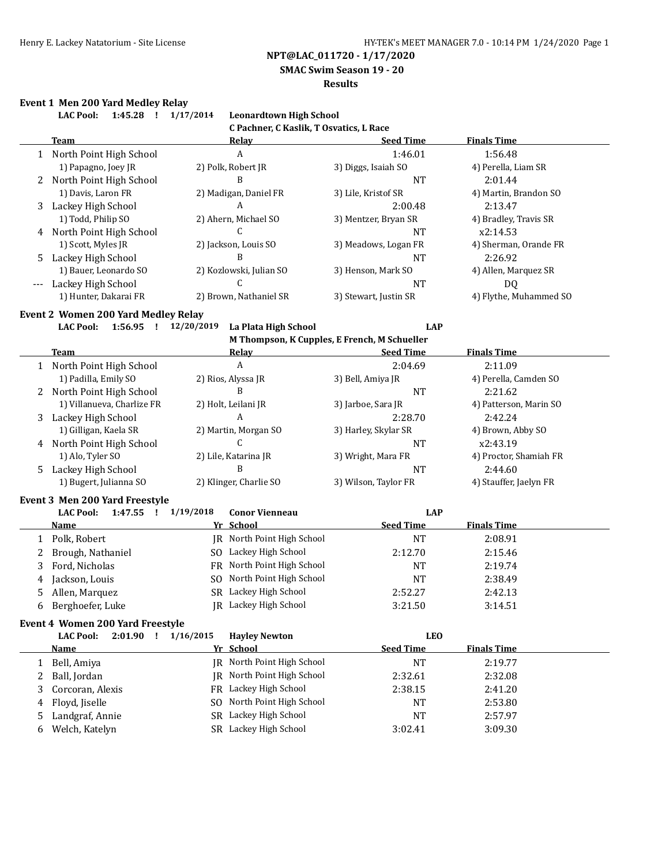**SMAC Swim Season 19 - 20**

#### **Results**

### **Event 1 Men 200 Yard Medley Relay**

|     | EVEILL I MEILLOU TALU MEUIEV REIAY<br><b>LAC Pool:</b><br>$1:45.28$ ! | 1/17/2014<br><b>Leonardtown High School</b> |                                              |                        |
|-----|-----------------------------------------------------------------------|---------------------------------------------|----------------------------------------------|------------------------|
|     |                                                                       | C Pachner, C Kaslik, T Osvatics, L Race     |                                              |                        |
|     | <b>Team</b>                                                           | Relay                                       | <b>Seed Time</b>                             | <b>Finals Time</b>     |
|     | 1 North Point High School                                             | A                                           | 1:46.01                                      | 1:56.48                |
|     | 1) Papagno, Joey JR                                                   | 2) Polk, Robert JR                          | 3) Diggs, Isaiah SO                          | 4) Perella, Liam SR    |
| 2   | North Point High School                                               | B                                           | <b>NT</b>                                    | 2:01.44                |
|     | 1) Davis, Laron FR                                                    | 2) Madigan, Daniel FR                       | 3) Lile, Kristof SR                          | 4) Martin, Brandon SO  |
| 3   | Lackey High School                                                    | A                                           | 2:00.48                                      | 2:13.47                |
|     | 1) Todd, Philip SO                                                    | 2) Ahern, Michael SO                        | 3) Mentzer, Bryan SR                         | 4) Bradley, Travis SR  |
|     | 4 North Point High School                                             | $\mathsf{C}$                                | <b>NT</b>                                    | x2:14.53               |
|     | 1) Scott, Myles JR                                                    | 2) Jackson, Louis SO                        | 3) Meadows, Logan FR                         | 4) Sherman, Orande FR  |
| 5.  | Lackey High School                                                    | B                                           | <b>NT</b>                                    | 2:26.92                |
|     | 1) Bauer, Leonardo SO                                                 | 2) Kozlowski, Julian SO                     | 3) Henson, Mark SO                           | 4) Allen, Marquez SR   |
| --- | Lackey High School                                                    | C                                           | <b>NT</b>                                    | <b>DQ</b>              |
|     | 1) Hunter, Dakarai FR                                                 | 2) Brown, Nathaniel SR                      | 3) Stewart, Justin SR                        | 4) Flythe, Muhammed SO |
|     | Event 2 Women 200 Yard Medley Relay                                   |                                             |                                              |                        |
|     | <b>LAC Pool:</b><br>1:56.95 ! 12/20/2019                              | La Plata High School                        | <b>LAP</b>                                   |                        |
|     |                                                                       |                                             | M Thompson, K Cupples, E French, M Schueller |                        |
|     | Team                                                                  | <b>Relay</b>                                | <b>Seed Time</b>                             | <b>Finals Time</b>     |
|     | 1 North Point High School                                             | $\boldsymbol{A}$                            | 2:04.69                                      | 2:11.09                |
|     | 1) Padilla, Emily SO                                                  | 2) Rios, Alyssa JR                          | 3) Bell, Amiya JR                            | 4) Perella, Camden SO  |
|     | 2 North Point High School                                             | B                                           | <b>NT</b>                                    | 2:21.62                |
|     | 1) Villanueva, Charlize FR                                            | 2) Holt, Leilani JR                         | 3) Jarboe, Sara JR                           | 4) Patterson, Marin SO |
|     | 3 Lackey High School                                                  | A                                           | 2:28.70                                      | 2:42.24                |
|     | 1) Gilligan, Kaela SR                                                 | 2) Martin, Morgan SO                        | 3) Harley, Skylar SR                         | 4) Brown, Abby SO      |
|     | 4 North Point High School                                             | C                                           | <b>NT</b>                                    | x2:43.19               |
|     | 1) Alo, Tyler SO                                                      | 2) Lile, Katarina JR                        | 3) Wright, Mara FR                           | 4) Proctor, Shamiah FR |
| 5   | Lackey High School                                                    | B                                           | <b>NT</b>                                    | 2:44.60                |
|     | 1) Bugert, Julianna SO                                                | 2) Klinger, Charlie SO                      | 3) Wilson, Taylor FR                         | 4) Stauffer, Jaelyn FR |
|     | Event 3 Men 200 Yard Freestyle                                        |                                             |                                              |                        |
|     | <b>LAC Pool:</b><br>$1:47.55$ !                                       | 1/19/2018<br><b>Conor Vienneau</b>          | <b>LAP</b>                                   |                        |
|     | Name                                                                  | Yr School                                   | <b>Seed Time</b>                             | <b>Finals Time</b>     |
|     | 1 Polk, Robert                                                        | JR North Point High School                  | <b>NT</b>                                    | 2:08.91                |
| 2   | Brough, Nathaniel                                                     | SO Lackey High School                       | 2:12.70                                      | 2:15.46                |
| 3   | Ford, Nicholas                                                        | FR North Point High School                  | <b>NT</b>                                    | 2:19.74                |
| 4   | Jackson, Louis                                                        | SO North Point High School                  | <b>NT</b>                                    | 2:38.49                |
| 5.  | Allen, Marquez                                                        | SR Lackey High School                       | 2:52.27                                      | 2:42.13                |
| 6   | Berghoefer, Luke                                                      | JR Lackey High School                       | 3:21.50                                      | 3:14.51                |
|     | Event 4 Women 200 Yard Freestyle                                      |                                             |                                              |                        |
|     | <b>LAC Pool:</b><br>$2:01.90$ !                                       | 1/16/2015<br><b>Hayley Newton</b>           | <b>LEO</b>                                   |                        |
|     | <u>Name</u>                                                           | Yr School                                   | <b>Seed Time</b>                             | <b>Finals Time</b>     |
| 1   | Bell, Amiya                                                           | North Point High School<br>IR               | NT                                           | 2:19.77                |
| 2   | Ball, Jordan                                                          | JR North Point High School                  | 2:32.61                                      | 2:32.08                |
|     | Corcoran, Alexis                                                      | FR Lackey High School                       | 2:38.15                                      | 2:41.20                |
| 3   |                                                                       | North Point High School                     | NT                                           | 2:53.80                |
| 4   | Floyd, Jiselle                                                        | SO                                          |                                              |                        |
| 5   | Landgraf, Annie                                                       | Lackey High School<br><b>SR</b>             | <b>NT</b>                                    | 2:57.97                |
| 6   | Welch, Katelyn                                                        | SR Lackey High School                       | 3:02.41                                      | 3:09.30                |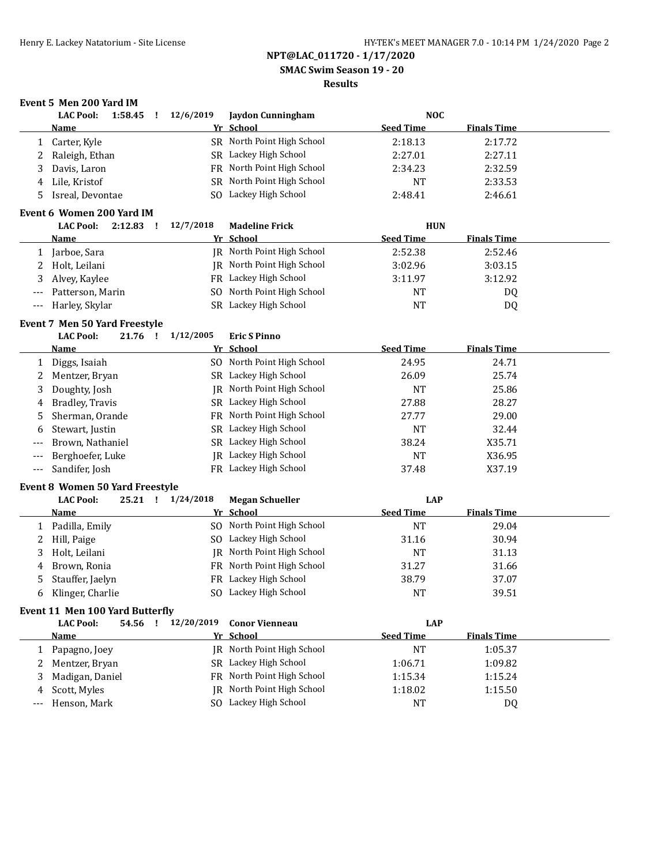**SMAC Swim Season 19 - 20**

### **Results**

## **Event 5 Men 200 Yard IM**

|       | <b>LAC Pool:</b><br>1:58.45<br>-1 | 12/6/2019 | Jaydon Cunningham          | <b>NOC</b>       |                    |  |
|-------|-----------------------------------|-----------|----------------------------|------------------|--------------------|--|
|       | Name                              |           | Yr School                  | <b>Seed Time</b> | <b>Finals Time</b> |  |
|       | Carter, Kyle                      |           | SR North Point High School | 2:18.13          | 2:17.72            |  |
|       | Raleigh, Ethan                    |           | SR Lackey High School      | 2:27.01          | 2:27.11            |  |
| 3     | Davis, Laron                      | FR -      | North Point High School    | 2:34.23          | 2:32.59            |  |
| 4     | Lile, Kristof                     |           | SR North Point High School | NT               | 2:33.53            |  |
| 5.    | Isreal, Devontae                  |           | SO Lackey High School      | 2:48.41          | 2:46.61            |  |
|       |                                   |           |                            |                  |                    |  |
|       | Event 6 Women 200 Yard IM         |           |                            |                  |                    |  |
|       | <b>LAC Pool:</b><br>2:12.83       | 12/7/2018 | <b>Madeline Frick</b>      | <b>HUN</b>       |                    |  |
|       | <b>Name</b>                       |           | Yr School                  | <b>Seed Time</b> | <b>Finals Time</b> |  |
|       | Jarboe, Sara                      | IR        | North Point High School    | 2:52.38          | 2:52.46            |  |
|       | Holt, Leilani                     | IR-       | North Point High School    | 3:02.96          | 3:03.15            |  |
| 3     | Alvey, Kaylee                     | FR        | Lackey High School         | 3:11.97          | 3:12.92            |  |
| $---$ | Patterson, Marin                  | SO.       | North Point High School    | <b>NT</b>        | DQ                 |  |

#### **Event 7 Men 50 Yard Freestyle**

|  | <b>LAC Pool:</b> | 21.76 |  | 1/12/2005 | <b>Eric S Pinno</b> |
|--|------------------|-------|--|-----------|---------------------|
|--|------------------|-------|--|-----------|---------------------|

|       | Name               | Yr School                  | <b>Seed Time</b> | <b>Finals Time</b> |  |
|-------|--------------------|----------------------------|------------------|--------------------|--|
|       | Diggs, Isaiah      | SO North Point High School | 24.95            | 24.71              |  |
| 2     | Mentzer, Bryan     | SR Lackey High School      | 26.09            | 25.74              |  |
| 3     | Doughty, Josh      | IR North Point High School | <b>NT</b>        | 25.86              |  |
| 4     | Bradley, Travis    | SR Lackey High School      | 27.88            | 28.27              |  |
|       | 5 Sherman, Orande  | FR North Point High School | 27.77            | 29.00              |  |
| 6     | Stewart, Justin    | SR Lackey High School      | NT               | 32.44              |  |
| $---$ | Brown, Nathaniel   | SR Lackey High School      | 38.24            | X35.71             |  |
| $---$ | Berghoefer, Luke   | IR Lackey High School      | NT               | X36.95             |  |
|       | --- Sandifer, Josh | FR Lackey High School      | 37.48            | X37.19             |  |

#### **Event 8 Women 50 Yard Freestyle**

|              | <b>LAC Pool:</b>   | 25.21 | 1/24/2018 | <b>Megan Schueller</b>     | LAP              |                    |  |
|--------------|--------------------|-------|-----------|----------------------------|------------------|--------------------|--|
|              | <b>Name</b>        |       |           | Yr School                  | <b>Seed Time</b> | <b>Finals Time</b> |  |
|              | Padilla, Emily     |       |           | SO North Point High School | <b>NT</b>        | 29.04              |  |
|              | Hill, Paige        |       |           | SO Lackey High School      | 31.16            | 30.94              |  |
|              | 3 Holt, Leilani    |       |           | IR North Point High School | NT               | 31.13              |  |
| 4            | Brown. Ronia       |       |           | FR North Point High School | 31.27            | 31.66              |  |
|              | 5 Stauffer, Jaelyn |       |           | FR Lackey High School      | 38.79            | 37.07              |  |
| <sub>b</sub> | Klinger, Charlie   |       |           | SO Lackey High School      | <b>NT</b>        | 39.51              |  |

### **Event 11 Men 100 Yard Butterfly**

|   | <b>LAC Pool:</b><br>54.56 | 12/20/2019 | <b>Conor Vienneau</b>      | LAP              |                    |
|---|---------------------------|------------|----------------------------|------------------|--------------------|
|   | <b>Name</b>               | Yr School  |                            | <b>Seed Time</b> | <b>Finals Time</b> |
|   | Papagno, Joey             |            | IR North Point High School | NT               | 1:05.37            |
|   | 2 Mentzer, Bryan          |            | SR Lackey High School      | 1:06.71          | 1:09.82            |
| 3 | Madigan, Daniel           |            | FR North Point High School | 1:15.34          | 1:15.24            |
|   | 4 Scott, Myles            |            | JR North Point High School | 1:18.02          | 1:15.50            |
|   | --- Henson, Mark          |            | Lackey High School         | NT               | DQ                 |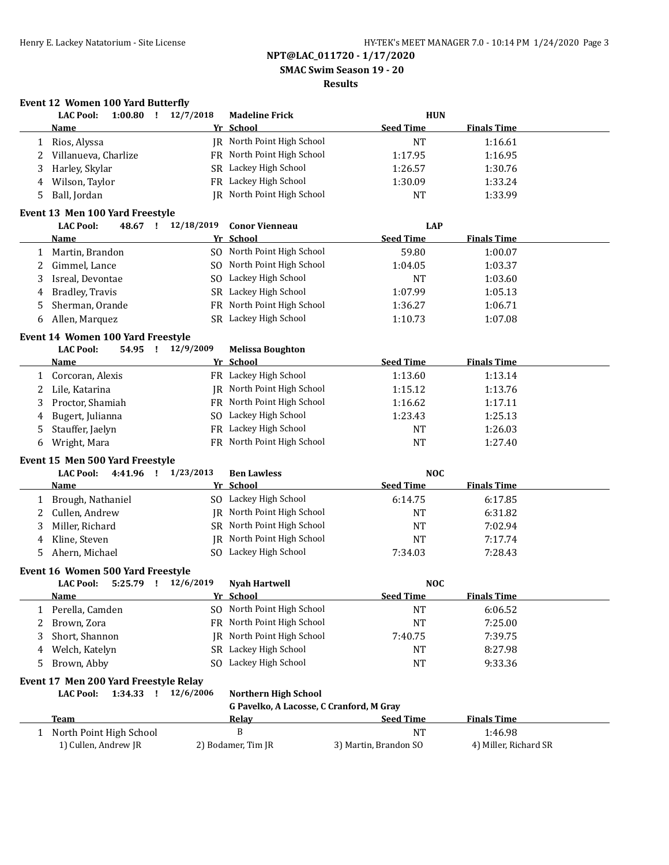**SMAC Swim Season 19 - 20**

### **Results**

### **Event 12 Women 100 Yard Butterfly**

| <b>Seed Time</b><br><b>Finals Time</b><br>Name<br>Yr School<br>JR North Point High School<br>Rios, Alyssa<br><b>NT</b><br>1:16.61<br>1<br>FR North Point High School<br>Villanueva, Charlize<br>1:17.95<br>1:16.95<br>2<br>SR Lackey High School<br>Harley, Skylar<br>1:26.57<br>1:30.76<br>3<br>FR Lackey High School<br>Wilson, Taylor<br>1:30.09<br>1:33.24<br>4<br><b>IR</b> North Point High School<br>Ball, Jordan<br><b>NT</b><br>1:33.99<br>5<br><b>LAC Pool:</b><br>48.67 ! 12/18/2019<br><b>LAP</b><br><b>Conor Vienneau</b><br>Yr School<br><b>Seed Time</b><br><b>Finals Time</b><br>Name<br>SO North Point High School<br>59.80<br>1:00.07<br>Martin, Brandon<br>1<br>SO North Point High School<br>Gimmel, Lance<br>1:04.05<br>1:03.37<br>2<br>SO Lackey High School<br>Isreal, Devontae<br><b>NT</b><br>3<br>1:03.60<br>Bradley, Travis<br>SR Lackey High School<br>1:07.99<br>1:05.13<br>4<br>Sherman, Orande<br>FR North Point High School<br>1:36.27<br>1:06.71<br>5<br>SR Lackey High School<br>Allen, Marquez<br>1:07.08<br>1:10.73<br>6<br><b>LAC Pool:</b><br>54.95 !<br>12/9/2009<br><b>Melissa Boughton</b> |  |
|-------------------------------------------------------------------------------------------------------------------------------------------------------------------------------------------------------------------------------------------------------------------------------------------------------------------------------------------------------------------------------------------------------------------------------------------------------------------------------------------------------------------------------------------------------------------------------------------------------------------------------------------------------------------------------------------------------------------------------------------------------------------------------------------------------------------------------------------------------------------------------------------------------------------------------------------------------------------------------------------------------------------------------------------------------------------------------------------------------------------------------------|--|
|                                                                                                                                                                                                                                                                                                                                                                                                                                                                                                                                                                                                                                                                                                                                                                                                                                                                                                                                                                                                                                                                                                                                     |  |
|                                                                                                                                                                                                                                                                                                                                                                                                                                                                                                                                                                                                                                                                                                                                                                                                                                                                                                                                                                                                                                                                                                                                     |  |
| Event 13 Men 100 Yard Freestyle<br>Event 14 Women 100 Yard Freestyle                                                                                                                                                                                                                                                                                                                                                                                                                                                                                                                                                                                                                                                                                                                                                                                                                                                                                                                                                                                                                                                                |  |
|                                                                                                                                                                                                                                                                                                                                                                                                                                                                                                                                                                                                                                                                                                                                                                                                                                                                                                                                                                                                                                                                                                                                     |  |
|                                                                                                                                                                                                                                                                                                                                                                                                                                                                                                                                                                                                                                                                                                                                                                                                                                                                                                                                                                                                                                                                                                                                     |  |
|                                                                                                                                                                                                                                                                                                                                                                                                                                                                                                                                                                                                                                                                                                                                                                                                                                                                                                                                                                                                                                                                                                                                     |  |
|                                                                                                                                                                                                                                                                                                                                                                                                                                                                                                                                                                                                                                                                                                                                                                                                                                                                                                                                                                                                                                                                                                                                     |  |
|                                                                                                                                                                                                                                                                                                                                                                                                                                                                                                                                                                                                                                                                                                                                                                                                                                                                                                                                                                                                                                                                                                                                     |  |
|                                                                                                                                                                                                                                                                                                                                                                                                                                                                                                                                                                                                                                                                                                                                                                                                                                                                                                                                                                                                                                                                                                                                     |  |
|                                                                                                                                                                                                                                                                                                                                                                                                                                                                                                                                                                                                                                                                                                                                                                                                                                                                                                                                                                                                                                                                                                                                     |  |
|                                                                                                                                                                                                                                                                                                                                                                                                                                                                                                                                                                                                                                                                                                                                                                                                                                                                                                                                                                                                                                                                                                                                     |  |
|                                                                                                                                                                                                                                                                                                                                                                                                                                                                                                                                                                                                                                                                                                                                                                                                                                                                                                                                                                                                                                                                                                                                     |  |
|                                                                                                                                                                                                                                                                                                                                                                                                                                                                                                                                                                                                                                                                                                                                                                                                                                                                                                                                                                                                                                                                                                                                     |  |
|                                                                                                                                                                                                                                                                                                                                                                                                                                                                                                                                                                                                                                                                                                                                                                                                                                                                                                                                                                                                                                                                                                                                     |  |
|                                                                                                                                                                                                                                                                                                                                                                                                                                                                                                                                                                                                                                                                                                                                                                                                                                                                                                                                                                                                                                                                                                                                     |  |
|                                                                                                                                                                                                                                                                                                                                                                                                                                                                                                                                                                                                                                                                                                                                                                                                                                                                                                                                                                                                                                                                                                                                     |  |
|                                                                                                                                                                                                                                                                                                                                                                                                                                                                                                                                                                                                                                                                                                                                                                                                                                                                                                                                                                                                                                                                                                                                     |  |
|                                                                                                                                                                                                                                                                                                                                                                                                                                                                                                                                                                                                                                                                                                                                                                                                                                                                                                                                                                                                                                                                                                                                     |  |
| <b>Seed Time</b><br><b>Finals Time</b><br>Yr School<br><u>Name</u>                                                                                                                                                                                                                                                                                                                                                                                                                                                                                                                                                                                                                                                                                                                                                                                                                                                                                                                                                                                                                                                                  |  |
| FR Lackey High School<br>1:13.60<br>Corcoran, Alexis<br>1:13.14<br>1                                                                                                                                                                                                                                                                                                                                                                                                                                                                                                                                                                                                                                                                                                                                                                                                                                                                                                                                                                                                                                                                |  |
| <b>IR</b> North Point High School<br>Lile, Katarina<br>1:15.12<br>1:13.76<br>2                                                                                                                                                                                                                                                                                                                                                                                                                                                                                                                                                                                                                                                                                                                                                                                                                                                                                                                                                                                                                                                      |  |
| Proctor, Shamiah<br>FR North Point High School<br>1:16.62<br>1:17.11<br>3                                                                                                                                                                                                                                                                                                                                                                                                                                                                                                                                                                                                                                                                                                                                                                                                                                                                                                                                                                                                                                                           |  |
| SO Lackey High School<br>Bugert, Julianna<br>1:23.43<br>1:25.13<br>4                                                                                                                                                                                                                                                                                                                                                                                                                                                                                                                                                                                                                                                                                                                                                                                                                                                                                                                                                                                                                                                                |  |
| FR Lackey High School<br>Stauffer, Jaelyn<br><b>NT</b><br>1:26.03<br>5                                                                                                                                                                                                                                                                                                                                                                                                                                                                                                                                                                                                                                                                                                                                                                                                                                                                                                                                                                                                                                                              |  |
| FR North Point High School<br><b>NT</b><br>Wright, Mara<br>1:27.40<br>6                                                                                                                                                                                                                                                                                                                                                                                                                                                                                                                                                                                                                                                                                                                                                                                                                                                                                                                                                                                                                                                             |  |
|                                                                                                                                                                                                                                                                                                                                                                                                                                                                                                                                                                                                                                                                                                                                                                                                                                                                                                                                                                                                                                                                                                                                     |  |
| Event 15 Men 500 Yard Freestyle                                                                                                                                                                                                                                                                                                                                                                                                                                                                                                                                                                                                                                                                                                                                                                                                                                                                                                                                                                                                                                                                                                     |  |
| <b>LAC Pool:</b><br>4:41.96 ! 1/23/2013<br><b>Ben Lawless</b><br><b>NOC</b>                                                                                                                                                                                                                                                                                                                                                                                                                                                                                                                                                                                                                                                                                                                                                                                                                                                                                                                                                                                                                                                         |  |
| <b>Seed Time</b><br><b>Finals Time</b><br>Yr School<br><u>Name</u>                                                                                                                                                                                                                                                                                                                                                                                                                                                                                                                                                                                                                                                                                                                                                                                                                                                                                                                                                                                                                                                                  |  |
| SO Lackey High School<br>Brough, Nathaniel<br>6:14.75<br>6:17.85<br>1                                                                                                                                                                                                                                                                                                                                                                                                                                                                                                                                                                                                                                                                                                                                                                                                                                                                                                                                                                                                                                                               |  |
| JR North Point High School<br>Cullen, Andrew<br><b>NT</b><br>6:31.82<br>2                                                                                                                                                                                                                                                                                                                                                                                                                                                                                                                                                                                                                                                                                                                                                                                                                                                                                                                                                                                                                                                           |  |
| SR North Point High School<br>Miller, Richard<br><b>NT</b><br>3<br>7:02.94                                                                                                                                                                                                                                                                                                                                                                                                                                                                                                                                                                                                                                                                                                                                                                                                                                                                                                                                                                                                                                                          |  |
| JR North Point High School<br>Kline, Steven<br><b>NT</b><br>7:17.74<br>4                                                                                                                                                                                                                                                                                                                                                                                                                                                                                                                                                                                                                                                                                                                                                                                                                                                                                                                                                                                                                                                            |  |
| SO Lackey High School<br>7:34.03<br>5<br>Ahern, Michael<br>7:28.43                                                                                                                                                                                                                                                                                                                                                                                                                                                                                                                                                                                                                                                                                                                                                                                                                                                                                                                                                                                                                                                                  |  |
| Event 16 Women 500 Yard Freestyle                                                                                                                                                                                                                                                                                                                                                                                                                                                                                                                                                                                                                                                                                                                                                                                                                                                                                                                                                                                                                                                                                                   |  |
| <b>LAC Pool:</b><br>12/6/2019<br><b>NOC</b><br>5:25.79<br>$\mathbf{I}$<br><b>Nyah Hartwell</b>                                                                                                                                                                                                                                                                                                                                                                                                                                                                                                                                                                                                                                                                                                                                                                                                                                                                                                                                                                                                                                      |  |
| Yr School<br><b>Seed Time</b><br><b>Finals Time</b><br><u>Name</u>                                                                                                                                                                                                                                                                                                                                                                                                                                                                                                                                                                                                                                                                                                                                                                                                                                                                                                                                                                                                                                                                  |  |
| SO North Point High School<br>Perella, Camden<br>NT<br>6:06.52<br>1                                                                                                                                                                                                                                                                                                                                                                                                                                                                                                                                                                                                                                                                                                                                                                                                                                                                                                                                                                                                                                                                 |  |
| FR North Point High School<br>Brown, Zora<br><b>NT</b><br>7:25.00<br>2                                                                                                                                                                                                                                                                                                                                                                                                                                                                                                                                                                                                                                                                                                                                                                                                                                                                                                                                                                                                                                                              |  |
| North Point High School<br>Short, Shannon<br>7:40.75<br>7:39.75<br>IR<br>3                                                                                                                                                                                                                                                                                                                                                                                                                                                                                                                                                                                                                                                                                                                                                                                                                                                                                                                                                                                                                                                          |  |
| SR Lackey High School                                                                                                                                                                                                                                                                                                                                                                                                                                                                                                                                                                                                                                                                                                                                                                                                                                                                                                                                                                                                                                                                                                               |  |
| Welch, Katelyn<br><b>NT</b><br>8:27.98<br>4                                                                                                                                                                                                                                                                                                                                                                                                                                                                                                                                                                                                                                                                                                                                                                                                                                                                                                                                                                                                                                                                                         |  |
| SO Lackey High School<br>Brown, Abby<br><b>NT</b><br>9:33.36<br>5                                                                                                                                                                                                                                                                                                                                                                                                                                                                                                                                                                                                                                                                                                                                                                                                                                                                                                                                                                                                                                                                   |  |
| Event 17 Men 200 Yard Freestyle Relay                                                                                                                                                                                                                                                                                                                                                                                                                                                                                                                                                                                                                                                                                                                                                                                                                                                                                                                                                                                                                                                                                               |  |
| 1:34.33 !<br>12/6/2006<br><b>Northern High School</b><br><b>LAC Pool:</b>                                                                                                                                                                                                                                                                                                                                                                                                                                                                                                                                                                                                                                                                                                                                                                                                                                                                                                                                                                                                                                                           |  |
| G Pavelko, A Lacosse, C Cranford, M Gray                                                                                                                                                                                                                                                                                                                                                                                                                                                                                                                                                                                                                                                                                                                                                                                                                                                                                                                                                                                                                                                                                            |  |
| <b>Finals Time</b><br><b>Team</b><br><b>Seed Time</b><br><b>Relay</b>                                                                                                                                                                                                                                                                                                                                                                                                                                                                                                                                                                                                                                                                                                                                                                                                                                                                                                                                                                                                                                                               |  |
| B<br>1:46.98<br>North Point High School<br><b>NT</b><br>1                                                                                                                                                                                                                                                                                                                                                                                                                                                                                                                                                                                                                                                                                                                                                                                                                                                                                                                                                                                                                                                                           |  |
| 1) Cullen, Andrew JR<br>2) Bodamer, Tim JR<br>3) Martin, Brandon SO<br>4) Miller, Richard SR                                                                                                                                                                                                                                                                                                                                                                                                                                                                                                                                                                                                                                                                                                                                                                                                                                                                                                                                                                                                                                        |  |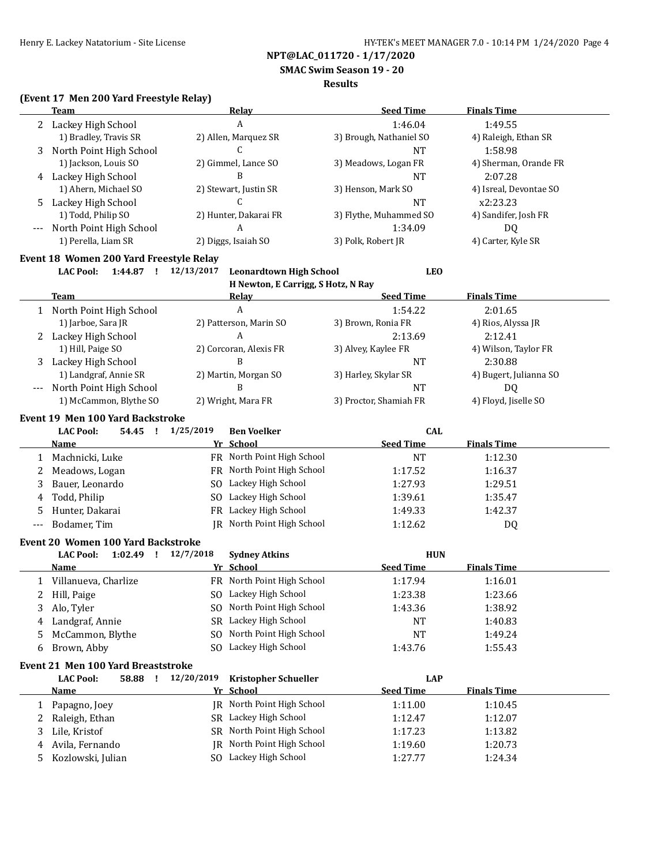**SMAC Swim Season 19 - 20**

#### **Results**

### **(Event 17 Men 200 Yard Freestyle Relay)**

| 1:46.04<br>Lackey High School<br>1:49.55<br>A<br>2<br>1) Bradley, Travis SR<br>2) Allen, Marquez SR<br>3) Brough, Nathaniel SO<br>4) Raleigh, Ethan SR<br>C<br>North Point High School<br><b>NT</b><br>1:58.98<br>3<br>1) Jackson, Louis SO<br>2) Gimmel, Lance SO<br>3) Meadows, Logan FR<br>4) Sherman, Orande FR<br>B<br>4 Lackey High School<br>2:07.28<br><b>NT</b><br>1) Ahern, Michael SO<br>2) Stewart, Justin SR<br>4) Isreal, Devontae SO<br>3) Henson, Mark SO<br>C<br>Lackey High School<br><b>NT</b><br>x2:23.23<br>5.<br>1) Todd, Philip SO<br>2) Hunter, Dakarai FR<br>3) Flythe, Muhammed SO<br>4) Sandifer, Josh FR<br>A<br>1:34.09<br>North Point High School<br>DQ<br>$---$<br>1) Perella, Liam SR<br>3) Polk, Robert JR<br>4) Carter, Kyle SR<br>2) Diggs, Isaiah SO<br>Event 18 Women 200 Yard Freestyle Relay<br>1:44.87 ! 12/13/2017<br><b>Leonardtown High School</b><br><b>LEO</b><br><b>LAC Pool:</b><br>H Newton, E Carrigg, S Hotz, N Ray<br><b>Seed Time</b><br><b>Finals Time</b><br>Team<br><u>Relav</u><br>A<br>North Point High School<br>1:54.22<br>2:01.65<br>1<br>1) Jarboe, Sara JR<br>2) Patterson, Marin SO<br>3) Brown, Ronia FR<br>4) Rios, Alyssa JR<br>2 Lackey High School<br>A<br>2:13.69<br>2:12.41<br>1) Hill, Paige SO<br>2) Corcoran, Alexis FR<br>4) Wilson, Taylor FR<br>3) Alvey, Kaylee FR<br>B<br>Lackey High School<br><b>NT</b><br>2:30.88<br>3<br>1) Landgraf, Annie SR<br>2) Martin, Morgan SO<br>3) Harley, Skylar SR<br>4) Bugert, Julianna SO<br>B<br>North Point High School<br>DQ<br><b>NT</b><br>$---$<br>1) McCammon, Blythe SO<br>3) Proctor, Shamiah FR<br>4) Floyd, Jiselle SO<br>2) Wright, Mara FR<br>Event 19 Men 100 Yard Backstroke<br>1/25/2019<br><b>LAC Pool:</b><br>54.45 !<br><b>Ben Voelker</b><br><b>CAL</b><br>Yr School<br><b>Seed Time</b><br><b>Finals Time</b><br><b>Name</b><br>FR North Point High School<br>Machnicki, Luke<br><b>NT</b><br>1:12.30<br>1<br>FR North Point High School<br>Meadows, Logan<br>2<br>1:17.52<br>1:16.37<br>SO Lackey High School<br>Bauer, Leonardo<br>1:27.93<br>1:29.51<br>3<br>SO Lackey High School<br>Todd, Philip<br>1:39.61<br>1:35.47<br>4<br>FR Lackey High School<br>Hunter, Dakarai<br>1:49.33<br>1:42.37<br>5<br>JR North Point High School<br>Bodamer, Tim<br>1:12.62<br>DQ<br>$\overline{\phantom{a}}$<br>Event 20 Women 100 Yard Backstroke<br><b>LAC Pool:</b><br>1:02.49 ! 12/7/2018<br><b>Sydney Atkins</b><br><b>HUN</b><br>Yr School<br><b>Seed Time</b><br><b>Finals Time</b><br>Name<br>FR North Point High School<br>1 Villanueva, Charlize<br>1:17.94<br>1:16.01<br>1:23.38<br>2 Hill, Paige<br>SO Lackey High School<br>1:23.66<br>SO North Point High School<br>Alo, Tyler<br>1:38.92<br>3<br>1:43.36<br>SR Lackey High School<br>Landgraf, Annie<br><b>NT</b><br>1:40.83<br>4<br>SO North Point High School<br>McCammon, Blythe<br><b>NT</b><br>1:49.24<br>5<br>SO Lackey High School<br>Brown, Abby<br>1:43.76<br>6<br>1:55.43<br>Event 21 Men 100 Yard Breaststroke<br>58.88 !<br>12/20/2019<br><b>Kristopher Schueller</b><br><b>LAP</b><br><b>LAC Pool:</b><br>Yr School<br><b>Seed Time</b><br><b>Finals Time</b><br><b>Name</b><br>JR North Point High School<br>1:10.45<br>Papagno, Joey<br>1:11.00<br>1<br>SR Lackey High School<br>Raleigh, Ethan<br>1:12.07<br>2<br>1:12.47<br>SR North Point High School<br>Lile, Kristof<br>1:13.82<br>3<br>1:17.23<br>JR North Point High School<br>Avila, Fernando<br>1:20.73<br>1:19.60<br>4<br>SO Lackey High School<br>Kozlowski, Julian<br>1:27.77<br>1:24.34<br>5 | <b>Team</b> | <b>Relay</b> | <b>Seed Time</b> | <b>Finals Time</b> |
|---------------------------------------------------------------------------------------------------------------------------------------------------------------------------------------------------------------------------------------------------------------------------------------------------------------------------------------------------------------------------------------------------------------------------------------------------------------------------------------------------------------------------------------------------------------------------------------------------------------------------------------------------------------------------------------------------------------------------------------------------------------------------------------------------------------------------------------------------------------------------------------------------------------------------------------------------------------------------------------------------------------------------------------------------------------------------------------------------------------------------------------------------------------------------------------------------------------------------------------------------------------------------------------------------------------------------------------------------------------------------------------------------------------------------------------------------------------------------------------------------------------------------------------------------------------------------------------------------------------------------------------------------------------------------------------------------------------------------------------------------------------------------------------------------------------------------------------------------------------------------------------------------------------------------------------------------------------------------------------------------------------------------------------------------------------------------------------------------------------------------------------------------------------------------------------------------------------------------------------------------------------------------------------------------------------------------------------------------------------------------------------------------------------------------------------------------------------------------------------------------------------------------------------------------------------------------------------------------------------------------------------------------------------------------------------------------------------------------------------------------------------------------------------------------------------------------------------------------------------------------------------------------------------------------------------------------------------------------------------------------------------------------------------------------------------------------------------------------------------------------------------------------------------------------------------------------------------------------------------------------------------------------------------------------------------------------------------------------------------------------------------------------------------------------------------------------------------------------------------------------------------------------------------------------------------------|-------------|--------------|------------------|--------------------|
|                                                                                                                                                                                                                                                                                                                                                                                                                                                                                                                                                                                                                                                                                                                                                                                                                                                                                                                                                                                                                                                                                                                                                                                                                                                                                                                                                                                                                                                                                                                                                                                                                                                                                                                                                                                                                                                                                                                                                                                                                                                                                                                                                                                                                                                                                                                                                                                                                                                                                                                                                                                                                                                                                                                                                                                                                                                                                                                                                                                                                                                                                                                                                                                                                                                                                                                                                                                                                                                                                                                                                                     |             |              |                  |                    |
|                                                                                                                                                                                                                                                                                                                                                                                                                                                                                                                                                                                                                                                                                                                                                                                                                                                                                                                                                                                                                                                                                                                                                                                                                                                                                                                                                                                                                                                                                                                                                                                                                                                                                                                                                                                                                                                                                                                                                                                                                                                                                                                                                                                                                                                                                                                                                                                                                                                                                                                                                                                                                                                                                                                                                                                                                                                                                                                                                                                                                                                                                                                                                                                                                                                                                                                                                                                                                                                                                                                                                                     |             |              |                  |                    |
|                                                                                                                                                                                                                                                                                                                                                                                                                                                                                                                                                                                                                                                                                                                                                                                                                                                                                                                                                                                                                                                                                                                                                                                                                                                                                                                                                                                                                                                                                                                                                                                                                                                                                                                                                                                                                                                                                                                                                                                                                                                                                                                                                                                                                                                                                                                                                                                                                                                                                                                                                                                                                                                                                                                                                                                                                                                                                                                                                                                                                                                                                                                                                                                                                                                                                                                                                                                                                                                                                                                                                                     |             |              |                  |                    |
|                                                                                                                                                                                                                                                                                                                                                                                                                                                                                                                                                                                                                                                                                                                                                                                                                                                                                                                                                                                                                                                                                                                                                                                                                                                                                                                                                                                                                                                                                                                                                                                                                                                                                                                                                                                                                                                                                                                                                                                                                                                                                                                                                                                                                                                                                                                                                                                                                                                                                                                                                                                                                                                                                                                                                                                                                                                                                                                                                                                                                                                                                                                                                                                                                                                                                                                                                                                                                                                                                                                                                                     |             |              |                  |                    |
|                                                                                                                                                                                                                                                                                                                                                                                                                                                                                                                                                                                                                                                                                                                                                                                                                                                                                                                                                                                                                                                                                                                                                                                                                                                                                                                                                                                                                                                                                                                                                                                                                                                                                                                                                                                                                                                                                                                                                                                                                                                                                                                                                                                                                                                                                                                                                                                                                                                                                                                                                                                                                                                                                                                                                                                                                                                                                                                                                                                                                                                                                                                                                                                                                                                                                                                                                                                                                                                                                                                                                                     |             |              |                  |                    |
|                                                                                                                                                                                                                                                                                                                                                                                                                                                                                                                                                                                                                                                                                                                                                                                                                                                                                                                                                                                                                                                                                                                                                                                                                                                                                                                                                                                                                                                                                                                                                                                                                                                                                                                                                                                                                                                                                                                                                                                                                                                                                                                                                                                                                                                                                                                                                                                                                                                                                                                                                                                                                                                                                                                                                                                                                                                                                                                                                                                                                                                                                                                                                                                                                                                                                                                                                                                                                                                                                                                                                                     |             |              |                  |                    |
|                                                                                                                                                                                                                                                                                                                                                                                                                                                                                                                                                                                                                                                                                                                                                                                                                                                                                                                                                                                                                                                                                                                                                                                                                                                                                                                                                                                                                                                                                                                                                                                                                                                                                                                                                                                                                                                                                                                                                                                                                                                                                                                                                                                                                                                                                                                                                                                                                                                                                                                                                                                                                                                                                                                                                                                                                                                                                                                                                                                                                                                                                                                                                                                                                                                                                                                                                                                                                                                                                                                                                                     |             |              |                  |                    |
|                                                                                                                                                                                                                                                                                                                                                                                                                                                                                                                                                                                                                                                                                                                                                                                                                                                                                                                                                                                                                                                                                                                                                                                                                                                                                                                                                                                                                                                                                                                                                                                                                                                                                                                                                                                                                                                                                                                                                                                                                                                                                                                                                                                                                                                                                                                                                                                                                                                                                                                                                                                                                                                                                                                                                                                                                                                                                                                                                                                                                                                                                                                                                                                                                                                                                                                                                                                                                                                                                                                                                                     |             |              |                  |                    |
|                                                                                                                                                                                                                                                                                                                                                                                                                                                                                                                                                                                                                                                                                                                                                                                                                                                                                                                                                                                                                                                                                                                                                                                                                                                                                                                                                                                                                                                                                                                                                                                                                                                                                                                                                                                                                                                                                                                                                                                                                                                                                                                                                                                                                                                                                                                                                                                                                                                                                                                                                                                                                                                                                                                                                                                                                                                                                                                                                                                                                                                                                                                                                                                                                                                                                                                                                                                                                                                                                                                                                                     |             |              |                  |                    |
|                                                                                                                                                                                                                                                                                                                                                                                                                                                                                                                                                                                                                                                                                                                                                                                                                                                                                                                                                                                                                                                                                                                                                                                                                                                                                                                                                                                                                                                                                                                                                                                                                                                                                                                                                                                                                                                                                                                                                                                                                                                                                                                                                                                                                                                                                                                                                                                                                                                                                                                                                                                                                                                                                                                                                                                                                                                                                                                                                                                                                                                                                                                                                                                                                                                                                                                                                                                                                                                                                                                                                                     |             |              |                  |                    |
|                                                                                                                                                                                                                                                                                                                                                                                                                                                                                                                                                                                                                                                                                                                                                                                                                                                                                                                                                                                                                                                                                                                                                                                                                                                                                                                                                                                                                                                                                                                                                                                                                                                                                                                                                                                                                                                                                                                                                                                                                                                                                                                                                                                                                                                                                                                                                                                                                                                                                                                                                                                                                                                                                                                                                                                                                                                                                                                                                                                                                                                                                                                                                                                                                                                                                                                                                                                                                                                                                                                                                                     |             |              |                  |                    |
|                                                                                                                                                                                                                                                                                                                                                                                                                                                                                                                                                                                                                                                                                                                                                                                                                                                                                                                                                                                                                                                                                                                                                                                                                                                                                                                                                                                                                                                                                                                                                                                                                                                                                                                                                                                                                                                                                                                                                                                                                                                                                                                                                                                                                                                                                                                                                                                                                                                                                                                                                                                                                                                                                                                                                                                                                                                                                                                                                                                                                                                                                                                                                                                                                                                                                                                                                                                                                                                                                                                                                                     |             |              |                  |                    |
|                                                                                                                                                                                                                                                                                                                                                                                                                                                                                                                                                                                                                                                                                                                                                                                                                                                                                                                                                                                                                                                                                                                                                                                                                                                                                                                                                                                                                                                                                                                                                                                                                                                                                                                                                                                                                                                                                                                                                                                                                                                                                                                                                                                                                                                                                                                                                                                                                                                                                                                                                                                                                                                                                                                                                                                                                                                                                                                                                                                                                                                                                                                                                                                                                                                                                                                                                                                                                                                                                                                                                                     |             |              |                  |                    |
|                                                                                                                                                                                                                                                                                                                                                                                                                                                                                                                                                                                                                                                                                                                                                                                                                                                                                                                                                                                                                                                                                                                                                                                                                                                                                                                                                                                                                                                                                                                                                                                                                                                                                                                                                                                                                                                                                                                                                                                                                                                                                                                                                                                                                                                                                                                                                                                                                                                                                                                                                                                                                                                                                                                                                                                                                                                                                                                                                                                                                                                                                                                                                                                                                                                                                                                                                                                                                                                                                                                                                                     |             |              |                  |                    |
|                                                                                                                                                                                                                                                                                                                                                                                                                                                                                                                                                                                                                                                                                                                                                                                                                                                                                                                                                                                                                                                                                                                                                                                                                                                                                                                                                                                                                                                                                                                                                                                                                                                                                                                                                                                                                                                                                                                                                                                                                                                                                                                                                                                                                                                                                                                                                                                                                                                                                                                                                                                                                                                                                                                                                                                                                                                                                                                                                                                                                                                                                                                                                                                                                                                                                                                                                                                                                                                                                                                                                                     |             |              |                  |                    |
|                                                                                                                                                                                                                                                                                                                                                                                                                                                                                                                                                                                                                                                                                                                                                                                                                                                                                                                                                                                                                                                                                                                                                                                                                                                                                                                                                                                                                                                                                                                                                                                                                                                                                                                                                                                                                                                                                                                                                                                                                                                                                                                                                                                                                                                                                                                                                                                                                                                                                                                                                                                                                                                                                                                                                                                                                                                                                                                                                                                                                                                                                                                                                                                                                                                                                                                                                                                                                                                                                                                                                                     |             |              |                  |                    |
|                                                                                                                                                                                                                                                                                                                                                                                                                                                                                                                                                                                                                                                                                                                                                                                                                                                                                                                                                                                                                                                                                                                                                                                                                                                                                                                                                                                                                                                                                                                                                                                                                                                                                                                                                                                                                                                                                                                                                                                                                                                                                                                                                                                                                                                                                                                                                                                                                                                                                                                                                                                                                                                                                                                                                                                                                                                                                                                                                                                                                                                                                                                                                                                                                                                                                                                                                                                                                                                                                                                                                                     |             |              |                  |                    |
|                                                                                                                                                                                                                                                                                                                                                                                                                                                                                                                                                                                                                                                                                                                                                                                                                                                                                                                                                                                                                                                                                                                                                                                                                                                                                                                                                                                                                                                                                                                                                                                                                                                                                                                                                                                                                                                                                                                                                                                                                                                                                                                                                                                                                                                                                                                                                                                                                                                                                                                                                                                                                                                                                                                                                                                                                                                                                                                                                                                                                                                                                                                                                                                                                                                                                                                                                                                                                                                                                                                                                                     |             |              |                  |                    |
|                                                                                                                                                                                                                                                                                                                                                                                                                                                                                                                                                                                                                                                                                                                                                                                                                                                                                                                                                                                                                                                                                                                                                                                                                                                                                                                                                                                                                                                                                                                                                                                                                                                                                                                                                                                                                                                                                                                                                                                                                                                                                                                                                                                                                                                                                                                                                                                                                                                                                                                                                                                                                                                                                                                                                                                                                                                                                                                                                                                                                                                                                                                                                                                                                                                                                                                                                                                                                                                                                                                                                                     |             |              |                  |                    |
|                                                                                                                                                                                                                                                                                                                                                                                                                                                                                                                                                                                                                                                                                                                                                                                                                                                                                                                                                                                                                                                                                                                                                                                                                                                                                                                                                                                                                                                                                                                                                                                                                                                                                                                                                                                                                                                                                                                                                                                                                                                                                                                                                                                                                                                                                                                                                                                                                                                                                                                                                                                                                                                                                                                                                                                                                                                                                                                                                                                                                                                                                                                                                                                                                                                                                                                                                                                                                                                                                                                                                                     |             |              |                  |                    |
|                                                                                                                                                                                                                                                                                                                                                                                                                                                                                                                                                                                                                                                                                                                                                                                                                                                                                                                                                                                                                                                                                                                                                                                                                                                                                                                                                                                                                                                                                                                                                                                                                                                                                                                                                                                                                                                                                                                                                                                                                                                                                                                                                                                                                                                                                                                                                                                                                                                                                                                                                                                                                                                                                                                                                                                                                                                                                                                                                                                                                                                                                                                                                                                                                                                                                                                                                                                                                                                                                                                                                                     |             |              |                  |                    |
|                                                                                                                                                                                                                                                                                                                                                                                                                                                                                                                                                                                                                                                                                                                                                                                                                                                                                                                                                                                                                                                                                                                                                                                                                                                                                                                                                                                                                                                                                                                                                                                                                                                                                                                                                                                                                                                                                                                                                                                                                                                                                                                                                                                                                                                                                                                                                                                                                                                                                                                                                                                                                                                                                                                                                                                                                                                                                                                                                                                                                                                                                                                                                                                                                                                                                                                                                                                                                                                                                                                                                                     |             |              |                  |                    |
|                                                                                                                                                                                                                                                                                                                                                                                                                                                                                                                                                                                                                                                                                                                                                                                                                                                                                                                                                                                                                                                                                                                                                                                                                                                                                                                                                                                                                                                                                                                                                                                                                                                                                                                                                                                                                                                                                                                                                                                                                                                                                                                                                                                                                                                                                                                                                                                                                                                                                                                                                                                                                                                                                                                                                                                                                                                                                                                                                                                                                                                                                                                                                                                                                                                                                                                                                                                                                                                                                                                                                                     |             |              |                  |                    |
|                                                                                                                                                                                                                                                                                                                                                                                                                                                                                                                                                                                                                                                                                                                                                                                                                                                                                                                                                                                                                                                                                                                                                                                                                                                                                                                                                                                                                                                                                                                                                                                                                                                                                                                                                                                                                                                                                                                                                                                                                                                                                                                                                                                                                                                                                                                                                                                                                                                                                                                                                                                                                                                                                                                                                                                                                                                                                                                                                                                                                                                                                                                                                                                                                                                                                                                                                                                                                                                                                                                                                                     |             |              |                  |                    |
|                                                                                                                                                                                                                                                                                                                                                                                                                                                                                                                                                                                                                                                                                                                                                                                                                                                                                                                                                                                                                                                                                                                                                                                                                                                                                                                                                                                                                                                                                                                                                                                                                                                                                                                                                                                                                                                                                                                                                                                                                                                                                                                                                                                                                                                                                                                                                                                                                                                                                                                                                                                                                                                                                                                                                                                                                                                                                                                                                                                                                                                                                                                                                                                                                                                                                                                                                                                                                                                                                                                                                                     |             |              |                  |                    |
|                                                                                                                                                                                                                                                                                                                                                                                                                                                                                                                                                                                                                                                                                                                                                                                                                                                                                                                                                                                                                                                                                                                                                                                                                                                                                                                                                                                                                                                                                                                                                                                                                                                                                                                                                                                                                                                                                                                                                                                                                                                                                                                                                                                                                                                                                                                                                                                                                                                                                                                                                                                                                                                                                                                                                                                                                                                                                                                                                                                                                                                                                                                                                                                                                                                                                                                                                                                                                                                                                                                                                                     |             |              |                  |                    |
|                                                                                                                                                                                                                                                                                                                                                                                                                                                                                                                                                                                                                                                                                                                                                                                                                                                                                                                                                                                                                                                                                                                                                                                                                                                                                                                                                                                                                                                                                                                                                                                                                                                                                                                                                                                                                                                                                                                                                                                                                                                                                                                                                                                                                                                                                                                                                                                                                                                                                                                                                                                                                                                                                                                                                                                                                                                                                                                                                                                                                                                                                                                                                                                                                                                                                                                                                                                                                                                                                                                                                                     |             |              |                  |                    |
|                                                                                                                                                                                                                                                                                                                                                                                                                                                                                                                                                                                                                                                                                                                                                                                                                                                                                                                                                                                                                                                                                                                                                                                                                                                                                                                                                                                                                                                                                                                                                                                                                                                                                                                                                                                                                                                                                                                                                                                                                                                                                                                                                                                                                                                                                                                                                                                                                                                                                                                                                                                                                                                                                                                                                                                                                                                                                                                                                                                                                                                                                                                                                                                                                                                                                                                                                                                                                                                                                                                                                                     |             |              |                  |                    |
|                                                                                                                                                                                                                                                                                                                                                                                                                                                                                                                                                                                                                                                                                                                                                                                                                                                                                                                                                                                                                                                                                                                                                                                                                                                                                                                                                                                                                                                                                                                                                                                                                                                                                                                                                                                                                                                                                                                                                                                                                                                                                                                                                                                                                                                                                                                                                                                                                                                                                                                                                                                                                                                                                                                                                                                                                                                                                                                                                                                                                                                                                                                                                                                                                                                                                                                                                                                                                                                                                                                                                                     |             |              |                  |                    |
|                                                                                                                                                                                                                                                                                                                                                                                                                                                                                                                                                                                                                                                                                                                                                                                                                                                                                                                                                                                                                                                                                                                                                                                                                                                                                                                                                                                                                                                                                                                                                                                                                                                                                                                                                                                                                                                                                                                                                                                                                                                                                                                                                                                                                                                                                                                                                                                                                                                                                                                                                                                                                                                                                                                                                                                                                                                                                                                                                                                                                                                                                                                                                                                                                                                                                                                                                                                                                                                                                                                                                                     |             |              |                  |                    |
|                                                                                                                                                                                                                                                                                                                                                                                                                                                                                                                                                                                                                                                                                                                                                                                                                                                                                                                                                                                                                                                                                                                                                                                                                                                                                                                                                                                                                                                                                                                                                                                                                                                                                                                                                                                                                                                                                                                                                                                                                                                                                                                                                                                                                                                                                                                                                                                                                                                                                                                                                                                                                                                                                                                                                                                                                                                                                                                                                                                                                                                                                                                                                                                                                                                                                                                                                                                                                                                                                                                                                                     |             |              |                  |                    |
|                                                                                                                                                                                                                                                                                                                                                                                                                                                                                                                                                                                                                                                                                                                                                                                                                                                                                                                                                                                                                                                                                                                                                                                                                                                                                                                                                                                                                                                                                                                                                                                                                                                                                                                                                                                                                                                                                                                                                                                                                                                                                                                                                                                                                                                                                                                                                                                                                                                                                                                                                                                                                                                                                                                                                                                                                                                                                                                                                                                                                                                                                                                                                                                                                                                                                                                                                                                                                                                                                                                                                                     |             |              |                  |                    |
|                                                                                                                                                                                                                                                                                                                                                                                                                                                                                                                                                                                                                                                                                                                                                                                                                                                                                                                                                                                                                                                                                                                                                                                                                                                                                                                                                                                                                                                                                                                                                                                                                                                                                                                                                                                                                                                                                                                                                                                                                                                                                                                                                                                                                                                                                                                                                                                                                                                                                                                                                                                                                                                                                                                                                                                                                                                                                                                                                                                                                                                                                                                                                                                                                                                                                                                                                                                                                                                                                                                                                                     |             |              |                  |                    |
|                                                                                                                                                                                                                                                                                                                                                                                                                                                                                                                                                                                                                                                                                                                                                                                                                                                                                                                                                                                                                                                                                                                                                                                                                                                                                                                                                                                                                                                                                                                                                                                                                                                                                                                                                                                                                                                                                                                                                                                                                                                                                                                                                                                                                                                                                                                                                                                                                                                                                                                                                                                                                                                                                                                                                                                                                                                                                                                                                                                                                                                                                                                                                                                                                                                                                                                                                                                                                                                                                                                                                                     |             |              |                  |                    |
|                                                                                                                                                                                                                                                                                                                                                                                                                                                                                                                                                                                                                                                                                                                                                                                                                                                                                                                                                                                                                                                                                                                                                                                                                                                                                                                                                                                                                                                                                                                                                                                                                                                                                                                                                                                                                                                                                                                                                                                                                                                                                                                                                                                                                                                                                                                                                                                                                                                                                                                                                                                                                                                                                                                                                                                                                                                                                                                                                                                                                                                                                                                                                                                                                                                                                                                                                                                                                                                                                                                                                                     |             |              |                  |                    |
|                                                                                                                                                                                                                                                                                                                                                                                                                                                                                                                                                                                                                                                                                                                                                                                                                                                                                                                                                                                                                                                                                                                                                                                                                                                                                                                                                                                                                                                                                                                                                                                                                                                                                                                                                                                                                                                                                                                                                                                                                                                                                                                                                                                                                                                                                                                                                                                                                                                                                                                                                                                                                                                                                                                                                                                                                                                                                                                                                                                                                                                                                                                                                                                                                                                                                                                                                                                                                                                                                                                                                                     |             |              |                  |                    |
|                                                                                                                                                                                                                                                                                                                                                                                                                                                                                                                                                                                                                                                                                                                                                                                                                                                                                                                                                                                                                                                                                                                                                                                                                                                                                                                                                                                                                                                                                                                                                                                                                                                                                                                                                                                                                                                                                                                                                                                                                                                                                                                                                                                                                                                                                                                                                                                                                                                                                                                                                                                                                                                                                                                                                                                                                                                                                                                                                                                                                                                                                                                                                                                                                                                                                                                                                                                                                                                                                                                                                                     |             |              |                  |                    |
|                                                                                                                                                                                                                                                                                                                                                                                                                                                                                                                                                                                                                                                                                                                                                                                                                                                                                                                                                                                                                                                                                                                                                                                                                                                                                                                                                                                                                                                                                                                                                                                                                                                                                                                                                                                                                                                                                                                                                                                                                                                                                                                                                                                                                                                                                                                                                                                                                                                                                                                                                                                                                                                                                                                                                                                                                                                                                                                                                                                                                                                                                                                                                                                                                                                                                                                                                                                                                                                                                                                                                                     |             |              |                  |                    |
|                                                                                                                                                                                                                                                                                                                                                                                                                                                                                                                                                                                                                                                                                                                                                                                                                                                                                                                                                                                                                                                                                                                                                                                                                                                                                                                                                                                                                                                                                                                                                                                                                                                                                                                                                                                                                                                                                                                                                                                                                                                                                                                                                                                                                                                                                                                                                                                                                                                                                                                                                                                                                                                                                                                                                                                                                                                                                                                                                                                                                                                                                                                                                                                                                                                                                                                                                                                                                                                                                                                                                                     |             |              |                  |                    |
|                                                                                                                                                                                                                                                                                                                                                                                                                                                                                                                                                                                                                                                                                                                                                                                                                                                                                                                                                                                                                                                                                                                                                                                                                                                                                                                                                                                                                                                                                                                                                                                                                                                                                                                                                                                                                                                                                                                                                                                                                                                                                                                                                                                                                                                                                                                                                                                                                                                                                                                                                                                                                                                                                                                                                                                                                                                                                                                                                                                                                                                                                                                                                                                                                                                                                                                                                                                                                                                                                                                                                                     |             |              |                  |                    |
|                                                                                                                                                                                                                                                                                                                                                                                                                                                                                                                                                                                                                                                                                                                                                                                                                                                                                                                                                                                                                                                                                                                                                                                                                                                                                                                                                                                                                                                                                                                                                                                                                                                                                                                                                                                                                                                                                                                                                                                                                                                                                                                                                                                                                                                                                                                                                                                                                                                                                                                                                                                                                                                                                                                                                                                                                                                                                                                                                                                                                                                                                                                                                                                                                                                                                                                                                                                                                                                                                                                                                                     |             |              |                  |                    |
|                                                                                                                                                                                                                                                                                                                                                                                                                                                                                                                                                                                                                                                                                                                                                                                                                                                                                                                                                                                                                                                                                                                                                                                                                                                                                                                                                                                                                                                                                                                                                                                                                                                                                                                                                                                                                                                                                                                                                                                                                                                                                                                                                                                                                                                                                                                                                                                                                                                                                                                                                                                                                                                                                                                                                                                                                                                                                                                                                                                                                                                                                                                                                                                                                                                                                                                                                                                                                                                                                                                                                                     |             |              |                  |                    |
|                                                                                                                                                                                                                                                                                                                                                                                                                                                                                                                                                                                                                                                                                                                                                                                                                                                                                                                                                                                                                                                                                                                                                                                                                                                                                                                                                                                                                                                                                                                                                                                                                                                                                                                                                                                                                                                                                                                                                                                                                                                                                                                                                                                                                                                                                                                                                                                                                                                                                                                                                                                                                                                                                                                                                                                                                                                                                                                                                                                                                                                                                                                                                                                                                                                                                                                                                                                                                                                                                                                                                                     |             |              |                  |                    |
|                                                                                                                                                                                                                                                                                                                                                                                                                                                                                                                                                                                                                                                                                                                                                                                                                                                                                                                                                                                                                                                                                                                                                                                                                                                                                                                                                                                                                                                                                                                                                                                                                                                                                                                                                                                                                                                                                                                                                                                                                                                                                                                                                                                                                                                                                                                                                                                                                                                                                                                                                                                                                                                                                                                                                                                                                                                                                                                                                                                                                                                                                                                                                                                                                                                                                                                                                                                                                                                                                                                                                                     |             |              |                  |                    |
|                                                                                                                                                                                                                                                                                                                                                                                                                                                                                                                                                                                                                                                                                                                                                                                                                                                                                                                                                                                                                                                                                                                                                                                                                                                                                                                                                                                                                                                                                                                                                                                                                                                                                                                                                                                                                                                                                                                                                                                                                                                                                                                                                                                                                                                                                                                                                                                                                                                                                                                                                                                                                                                                                                                                                                                                                                                                                                                                                                                                                                                                                                                                                                                                                                                                                                                                                                                                                                                                                                                                                                     |             |              |                  |                    |
|                                                                                                                                                                                                                                                                                                                                                                                                                                                                                                                                                                                                                                                                                                                                                                                                                                                                                                                                                                                                                                                                                                                                                                                                                                                                                                                                                                                                                                                                                                                                                                                                                                                                                                                                                                                                                                                                                                                                                                                                                                                                                                                                                                                                                                                                                                                                                                                                                                                                                                                                                                                                                                                                                                                                                                                                                                                                                                                                                                                                                                                                                                                                                                                                                                                                                                                                                                                                                                                                                                                                                                     |             |              |                  |                    |
|                                                                                                                                                                                                                                                                                                                                                                                                                                                                                                                                                                                                                                                                                                                                                                                                                                                                                                                                                                                                                                                                                                                                                                                                                                                                                                                                                                                                                                                                                                                                                                                                                                                                                                                                                                                                                                                                                                                                                                                                                                                                                                                                                                                                                                                                                                                                                                                                                                                                                                                                                                                                                                                                                                                                                                                                                                                                                                                                                                                                                                                                                                                                                                                                                                                                                                                                                                                                                                                                                                                                                                     |             |              |                  |                    |
|                                                                                                                                                                                                                                                                                                                                                                                                                                                                                                                                                                                                                                                                                                                                                                                                                                                                                                                                                                                                                                                                                                                                                                                                                                                                                                                                                                                                                                                                                                                                                                                                                                                                                                                                                                                                                                                                                                                                                                                                                                                                                                                                                                                                                                                                                                                                                                                                                                                                                                                                                                                                                                                                                                                                                                                                                                                                                                                                                                                                                                                                                                                                                                                                                                                                                                                                                                                                                                                                                                                                                                     |             |              |                  |                    |
|                                                                                                                                                                                                                                                                                                                                                                                                                                                                                                                                                                                                                                                                                                                                                                                                                                                                                                                                                                                                                                                                                                                                                                                                                                                                                                                                                                                                                                                                                                                                                                                                                                                                                                                                                                                                                                                                                                                                                                                                                                                                                                                                                                                                                                                                                                                                                                                                                                                                                                                                                                                                                                                                                                                                                                                                                                                                                                                                                                                                                                                                                                                                                                                                                                                                                                                                                                                                                                                                                                                                                                     |             |              |                  |                    |
|                                                                                                                                                                                                                                                                                                                                                                                                                                                                                                                                                                                                                                                                                                                                                                                                                                                                                                                                                                                                                                                                                                                                                                                                                                                                                                                                                                                                                                                                                                                                                                                                                                                                                                                                                                                                                                                                                                                                                                                                                                                                                                                                                                                                                                                                                                                                                                                                                                                                                                                                                                                                                                                                                                                                                                                                                                                                                                                                                                                                                                                                                                                                                                                                                                                                                                                                                                                                                                                                                                                                                                     |             |              |                  |                    |